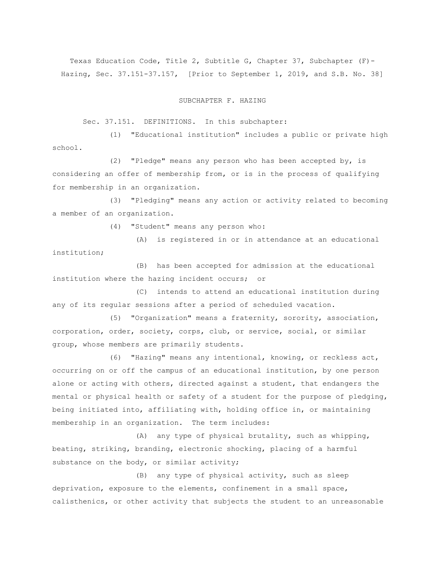Texas Education Code, Title 2, Subtitle G, Chapter 37, Subchapter (F)- Hazing, Sec. 37.151-37.157, [Prior to September 1, 2019, and S.B. No. 38]

## SUBCHAPTER F. HAZING

Sec. 37.151. DEFINITIONS. In this subchapter:

(1) "Educational institution" includes a public or private high school.

(2) "Pledge" means any person who has been accepted by, is considering an offer of membership from, or is in the process of qualifying for membership in an organization.

(3) "Pledging" means any action or activity related to becoming a member of an organization.

(4) "Student" means any person who:

(A) is registered in or in attendance at an educational institution;

(B) has been accepted for admission at the educational institution where the hazing incident occurs; or

(C) intends to attend an educational institution during any of its regular sessions after a period of scheduled vacation.

(5) "Organization" means a fraternity, sorority, association, corporation, order, society, corps, club, or service, social, or similar group, whose members are primarily students.

(6) "Hazing" means any intentional, knowing, or reckless act, occurring on or off the campus of an educational institution, by one person alone or acting with others, directed against a student, that endangers the mental or physical health or safety of a student for the purpose of pledging, being initiated into, affiliating with, holding office in, or maintaining membership in an organization. The term includes:

(A) any type of physical brutality, such as whipping, beating, striking, branding, electronic shocking, placing of a harmful substance on the body, or similar activity;

(B) any type of physical activity, such as sleep deprivation, exposure to the elements, confinement in a small space, calisthenics, or other activity that subjects the student to an unreasonable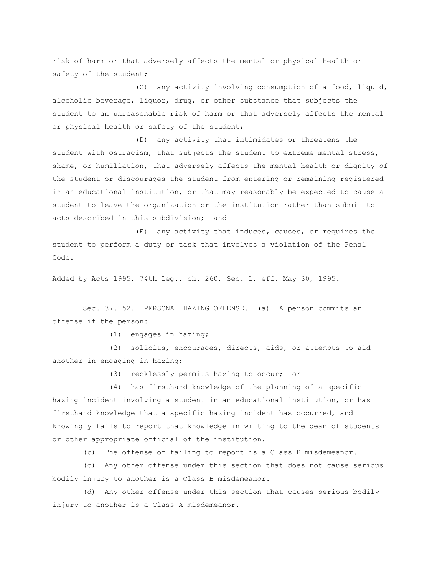risk of harm or that adversely affects the mental or physical health or safety of the student;

(C) any activity involving consumption of a food, liquid, alcoholic beverage, liquor, drug, or other substance that subjects the student to an unreasonable risk of harm or that adversely affects the mental or physical health or safety of the student;

(D) any activity that intimidates or threatens the student with ostracism, that subjects the student to extreme mental stress, shame, or humiliation, that adversely affects the mental health or dignity of the student or discourages the student from entering or remaining registered in an educational institution, or that may reasonably be expected to cause a student to leave the organization or the institution rather than submit to acts described in this subdivision; and

(E) any activity that induces, causes, or requires the student to perform a duty or task that involves a violation of the Penal Code.

Added by Acts 1995, 74th Leg., ch. 260, Sec. 1, eff. May 30, 1995.

Sec. 37.152. PERSONAL HAZING OFFENSE. (a) A person commits an offense if the person:

(1) engages in hazing;

(2) solicits, encourages, directs, aids, or attempts to aid another in engaging in hazing;

(3) recklessly permits hazing to occur; or

(4) has firsthand knowledge of the planning of a specific hazing incident involving a student in an educational institution, or has firsthand knowledge that a specific hazing incident has occurred, and knowingly fails to report that knowledge in writing to the dean of students or other appropriate official of the institution.

(b) The offense of failing to report is a Class B misdemeanor.

(c) Any other offense under this section that does not cause serious bodily injury to another is a Class B misdemeanor.

(d) Any other offense under this section that causes serious bodily injury to another is a Class A misdemeanor.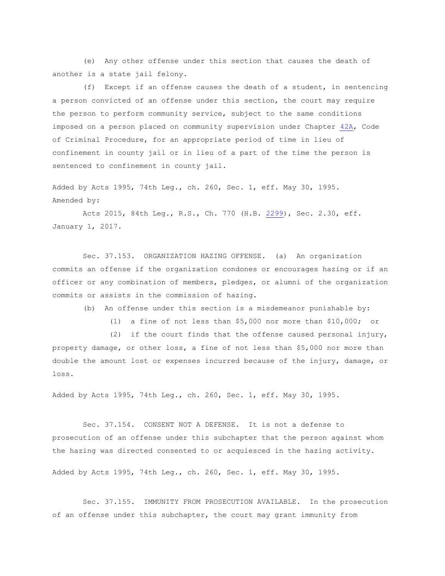(e) Any other offense under this section that causes the death of another is a state jail felony.

(f) Except if an offense causes the death of a student, in sentencing a person convicted of an offense under this section, the court may require the person to perform community service, subject to the same conditions imposed on a person placed on community supervision under Chapter [42A,](http://www.statutes.legis.state.tx.us/GetStatute.aspx?Code=CR&Value=42A) Code of Criminal Procedure, for an appropriate period of time in lieu of confinement in county jail or in lieu of a part of the time the person is sentenced to confinement in county jail.

Added by Acts 1995, 74th Leg., ch. 260, Sec. 1, eff. May 30, 1995. Amended by:

Acts 2015, 84th Leg., R.S., Ch. 770 (H.B. [2299\)](http://www.legis.state.tx.us/tlodocs/84R/billtext/html/HB02299F.HTM), Sec. 2.30, eff. January 1, 2017.

Sec. 37.153. ORGANIZATION HAZING OFFENSE. (a) An organization commits an offense if the organization condones or encourages hazing or if an officer or any combination of members, pledges, or alumni of the organization commits or assists in the commission of hazing.

(b) An offense under this section is a misdemeanor punishable by:

(1) a fine of not less than \$5,000 nor more than \$10,000; or

(2) if the court finds that the offense caused personal injury, property damage, or other loss, a fine of not less than \$5,000 nor more than double the amount lost or expenses incurred because of the injury, damage, or

Added by Acts 1995, 74th Leg., ch. 260, Sec. 1, eff. May 30, 1995.

loss.

Sec. 37.154. CONSENT NOT A DEFENSE. It is not a defense to prosecution of an offense under this subchapter that the person against whom the hazing was directed consented to or acquiesced in the hazing activity.

Added by Acts 1995, 74th Leg., ch. 260, Sec. 1, eff. May 30, 1995.

Sec. 37.155. IMMUNITY FROM PROSECUTION AVAILABLE. In the prosecution of an offense under this subchapter, the court may grant immunity from